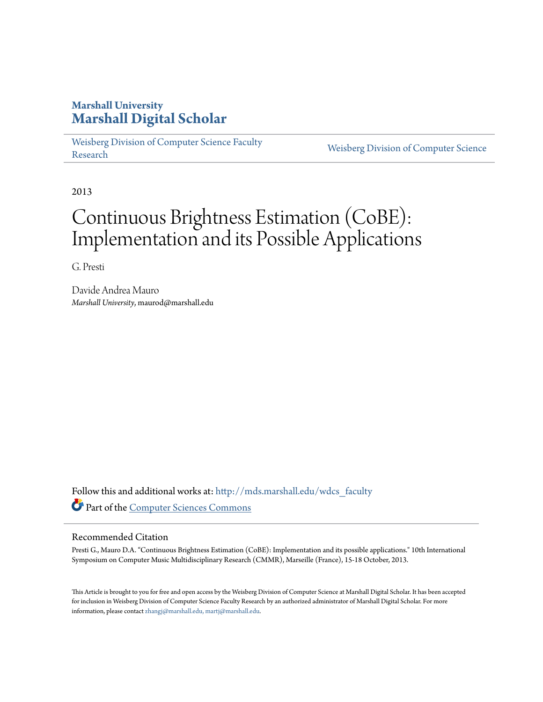# **Marshall University [Marshall Digital Scholar](http://mds.marshall.edu?utm_source=mds.marshall.edu%2Fwdcs_faculty%2F19&utm_medium=PDF&utm_campaign=PDFCoverPages)**

[Weisberg Division of Computer Science Faculty](http://mds.marshall.edu/wdcs_faculty?utm_source=mds.marshall.edu%2Fwdcs_faculty%2F19&utm_medium=PDF&utm_campaign=PDFCoverPages) [Research](http://mds.marshall.edu/wdcs_faculty?utm_source=mds.marshall.edu%2Fwdcs_faculty%2F19&utm_medium=PDF&utm_campaign=PDFCoverPages) [Weisberg Division of Computer Science](http://mds.marshall.edu/wdcs?utm_source=mds.marshall.edu%2Fwdcs_faculty%2F19&utm_medium=PDF&utm_campaign=PDFCoverPages) Research

2013

# Continuous Brightness Estimation (CoBE): Implementation and its Possible Applications

G. Presti

Davide Andrea Mauro *Marshall University*, maurod@marshall.edu

Follow this and additional works at: [http://mds.marshall.edu/wdcs\\_faculty](http://mds.marshall.edu/wdcs_faculty?utm_source=mds.marshall.edu%2Fwdcs_faculty%2F19&utm_medium=PDF&utm_campaign=PDFCoverPages) Part of the [Computer Sciences Commons](http://network.bepress.com/hgg/discipline/142?utm_source=mds.marshall.edu%2Fwdcs_faculty%2F19&utm_medium=PDF&utm_campaign=PDFCoverPages)

## Recommended Citation

Presti G., Mauro D.A. "Continuous Brightness Estimation (CoBE): Implementation and its possible applications." 10th International Symposium on Computer Music Multidisciplinary Research (CMMR), Marseille (France), 15-18 October, 2013.

This Article is brought to you for free and open access by the Weisberg Division of Computer Science at Marshall Digital Scholar. It has been accepted for inclusion in Weisberg Division of Computer Science Faculty Research by an authorized administrator of Marshall Digital Scholar. For more information, please contact [zhangj@marshall.edu, martj@marshall.edu.](mailto:zhangj@marshall.edu,%20martj@marshall.edu)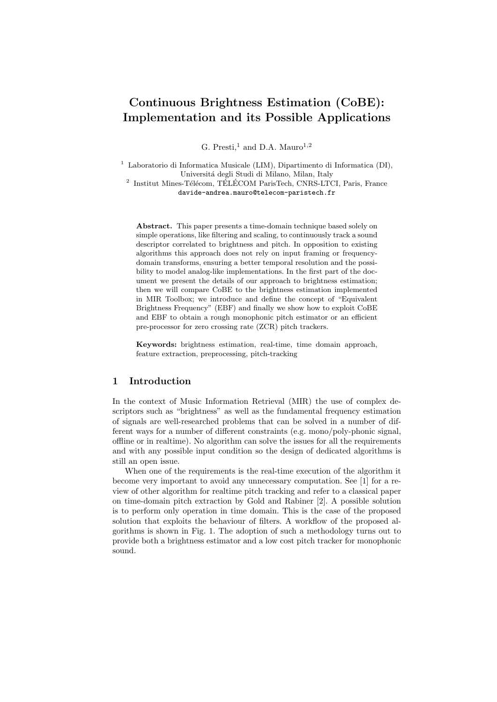# Continuous Brightness Estimation (CoBE): Implementation and its Possible Applications

G. Presti,<sup>1</sup> and D.A. Mauro<sup>1,2</sup>

<sup>1</sup> Laboratorio di Informatica Musicale (LIM), Dipartimento di Informatica (DI), Universitá degli Studi di Milano, Milan, Italy

 $^{2}$  Institut Mines-Télécom, TÉLÉCOM ParisTech, CNRS-LTCI, Paris, France davide-andrea.mauro@telecom-paristech.fr

Abstract. This paper presents a time-domain technique based solely on simple operations, like filtering and scaling, to continuously track a sound descriptor correlated to brightness and pitch. In opposition to existing algorithms this approach does not rely on input framing or frequencydomain transforms, ensuring a better temporal resolution and the possibility to model analog-like implementations. In the first part of the document we present the details of our approach to brightness estimation; then we will compare CoBE to the brightness estimation implemented in MIR Toolbox; we introduce and define the concept of "Equivalent Brightness Frequency" (EBF) and finally we show how to exploit CoBE and EBF to obtain a rough monophonic pitch estimator or an efficient pre-processor for zero crossing rate (ZCR) pitch trackers.

Keywords: brightness estimation, real-time, time domain approach, feature extraction, preprocessing, pitch-tracking

### 1 Introduction

In the context of Music Information Retrieval (MIR) the use of complex descriptors such as "brightness" as well as the fundamental frequency estimation of signals are well-researched problems that can be solved in a number of different ways for a number of different constraints (e.g. mono/poly-phonic signal, offline or in realtime). No algorithm can solve the issues for all the requirements and with any possible input condition so the design of dedicated algorithms is still an open issue.

When one of the requirements is the real-time execution of the algorithm it become very important to avoid any unnecessary computation. See [1] for a review of other algorithm for realtime pitch tracking and refer to a classical paper on time-domain pitch extraction by Gold and Rabiner [2]. A possible solution is to perform only operation in time domain. This is the case of the proposed solution that exploits the behaviour of filters. A workflow of the proposed algorithms is shown in Fig. 1. The adoption of such a methodology turns out to provide both a brightness estimator and a low cost pitch tracker for monophonic sound.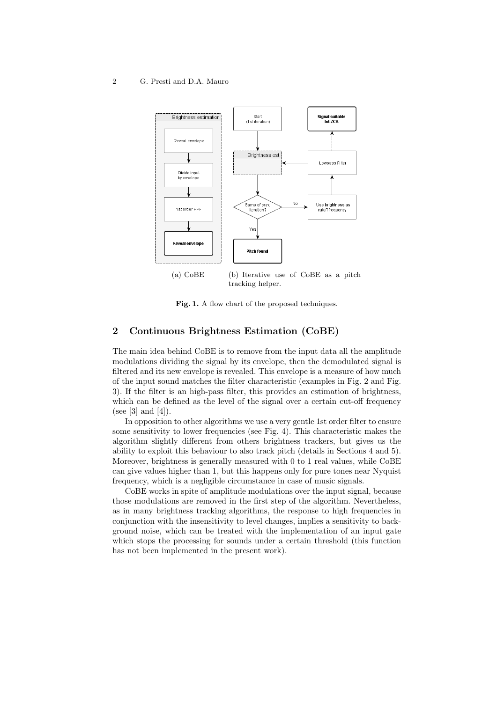#### 2 G. Presti and D.A. Mauro



tracking helper.

Fig. 1. A flow chart of the proposed techniques.

# 2 Continuous Brightness Estimation (CoBE)

The main idea behind CoBE is to remove from the input data all the amplitude modulations dividing the signal by its envelope, then the demodulated signal is filtered and its new envelope is revealed. This envelope is a measure of how much of the input sound matches the filter characteristic (examples in Fig. 2 and Fig. 3). If the filter is an high-pass filter, this provides an estimation of brightness, which can be defined as the level of the signal over a certain cut-off frequency (see [3] and [4]).

In opposition to other algorithms we use a very gentle 1st order filter to ensure some sensitivity to lower frequencies (see Fig. 4). This characteristic makes the algorithm slightly different from others brightness trackers, but gives us the ability to exploit this behaviour to also track pitch (details in Sections 4 and 5). Moreover, brightness is generally measured with 0 to 1 real values, while CoBE can give values higher than 1, but this happens only for pure tones near Nyquist frequency, which is a negligible circumstance in case of music signals.

CoBE works in spite of amplitude modulations over the input signal, because those modulations are removed in the first step of the algorithm. Nevertheless, as in many brightness tracking algorithms, the response to high frequencies in conjunction with the insensitivity to level changes, implies a sensitivity to background noise, which can be treated with the implementation of an input gate which stops the processing for sounds under a certain threshold (this function has not been implemented in the present work).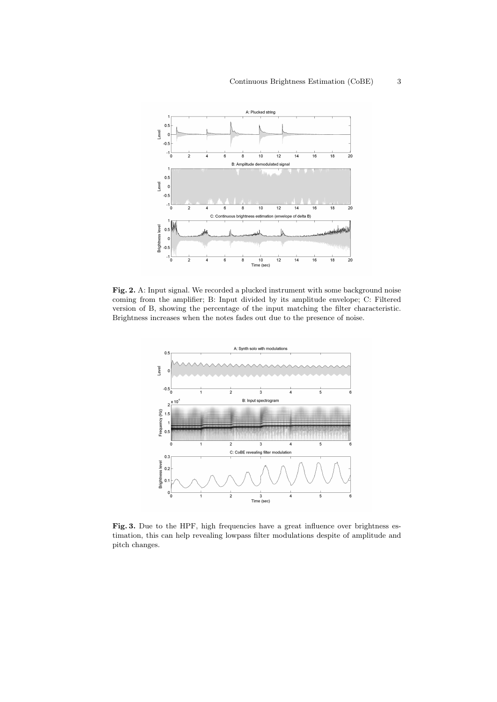

Fig. 2. A: Input signal. We recorded a plucked instrument with some background noise coming from the amplifier; B: Input divided by its amplitude envelope; C: Filtered version of B, showing the percentage of the input matching the filter characteristic. Brightness increases when the notes fades out due to the presence of noise.



Fig. 3. Due to the HPF, high frequencies have a great influence over brightness estimation, this can help revealing lowpass filter modulations despite of amplitude and pitch changes.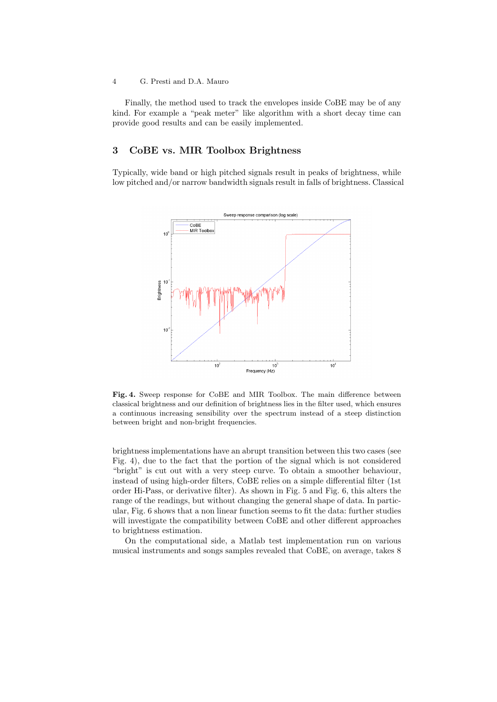#### 4 G. Presti and D.A. Mauro

Finally, the method used to track the envelopes inside CoBE may be of any kind. For example a "peak meter" like algorithm with a short decay time can provide good results and can be easily implemented.

# 3 CoBE vs. MIR Toolbox Brightness

Typically, wide band or high pitched signals result in peaks of brightness, while low pitched and/or narrow bandwidth signals result in falls of brightness. Classical



Fig. 4. Sweep response for CoBE and MIR Toolbox. The main difference between classical brightness and our definition of brightness lies in the filter used, which ensures a continuous increasing sensibility over the spectrum instead of a steep distinction between bright and non-bright frequencies.

brightness implementations have an abrupt transition between this two cases (see Fig. 4), due to the fact that the portion of the signal which is not considered "bright" is cut out with a very steep curve. To obtain a smoother behaviour, instead of using high-order filters, CoBE relies on a simple differential filter (1st order Hi-Pass, or derivative filter). As shown in Fig. 5 and Fig. 6, this alters the range of the readings, but without changing the general shape of data. In particular, Fig. 6 shows that a non linear function seems to fit the data: further studies will investigate the compatibility between CoBE and other different approaches to brightness estimation.

On the computational side, a Matlab test implementation run on various musical instruments and songs samples revealed that CoBE, on average, takes 8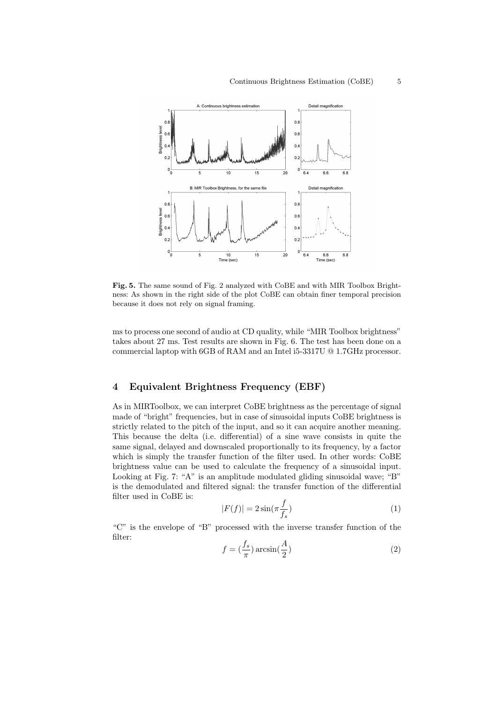

Fig. 5. The same sound of Fig. 2 analyzed with CoBE and with MIR Toolbox Brightness: As shown in the right side of the plot CoBE can obtain finer temporal precision because it does not rely on signal framing.

ms to process one second of audio at CD quality, while "MIR Toolbox brightness" takes about 27 ms. Test results are shown in Fig. 6. The test has been done on a commercial laptop with 6GB of RAM and an Intel i5-3317U @ 1.7GHz processor.

# 4 Equivalent Brightness Frequency (EBF)

As in MIRToolbox, we can interpret CoBE brightness as the percentage of signal made of "bright" frequencies, but in case of sinusoidal inputs CoBE brightness is strictly related to the pitch of the input, and so it can acquire another meaning. This because the delta (i.e. differential) of a sine wave consists in quite the same signal, delayed and downscaled proportionally to its frequency, by a factor which is simply the transfer function of the filter used. In other words: CoBE brightness value can be used to calculate the frequency of a sinusoidal input. Looking at Fig. 7: "A" is an amplitude modulated gliding sinusoidal wave; "B" is the demodulated and filtered signal: the transfer function of the differential filter used in CoBE is:

$$
|F(f)| = 2\sin(\pi \frac{f}{f_s})\tag{1}
$$

"C" is the envelope of "B" processed with the inverse transfer function of the filter:

$$
f = \left(\frac{f_s}{\pi}\right) \arcsin\left(\frac{A}{2}\right) \tag{2}
$$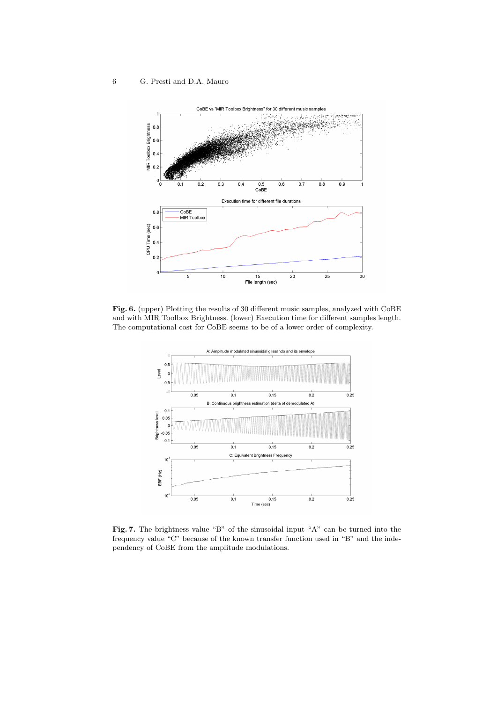#### 6 G. Presti and D.A. Mauro



Fig. 6. (upper) Plotting the results of 30 different music samples, analyzed with CoBE and with MIR Toolbox Brightness. (lower) Execution time for different samples length. The computational cost for CoBE seems to be of a lower order of complexity.



Fig. 7. The brightness value "B" of the sinusoidal input "A" can be turned into the frequency value "C" because of the known transfer function used in "B" and the independency of CoBE from the amplitude modulations.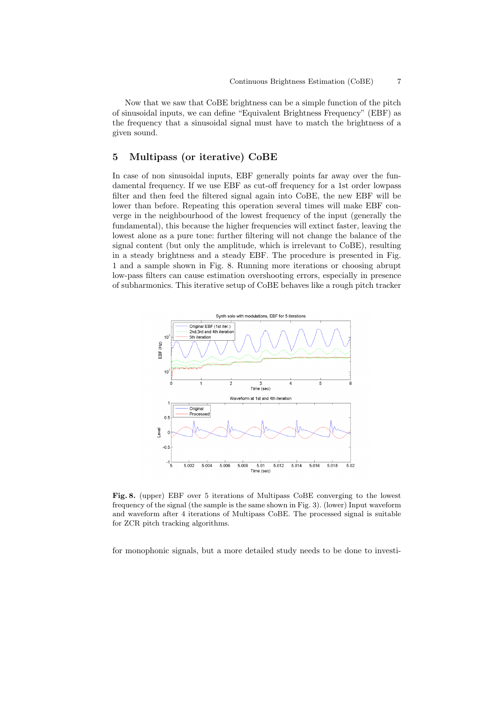Now that we saw that CoBE brightness can be a simple function of the pitch of sinusoidal inputs, we can define "Equivalent Brightness Frequency" (EBF) as the frequency that a sinusoidal signal must have to match the brightness of a given sound.

# 5 Multipass (or iterative) CoBE

In case of non sinusoidal inputs, EBF generally points far away over the fundamental frequency. If we use EBF as cut-off frequency for a 1st order lowpass filter and then feed the filtered signal again into CoBE, the new EBF will be lower than before. Repeating this operation several times will make EBF converge in the neighbourhood of the lowest frequency of the input (generally the fundamental), this because the higher frequencies will extinct faster, leaving the lowest alone as a pure tone: further filtering will not change the balance of the signal content (but only the amplitude, which is irrelevant to CoBE), resulting in a steady brightness and a steady EBF. The procedure is presented in Fig. 1 and a sample shown in Fig. 8. Running more iterations or choosing abrupt low-pass filters can cause estimation overshooting errors, especially in presence of subharmonics. This iterative setup of CoBE behaves like a rough pitch tracker



Fig. 8. (upper) EBF over 5 iterations of Multipass CoBE converging to the lowest frequency of the signal (the sample is the same shown in Fig. 3). (lower) Input waveform and waveform after 4 iterations of Multipass CoBE. The processed signal is suitable for ZCR pitch tracking algorithms.

for monophonic signals, but a more detailed study needs to be done to investi-